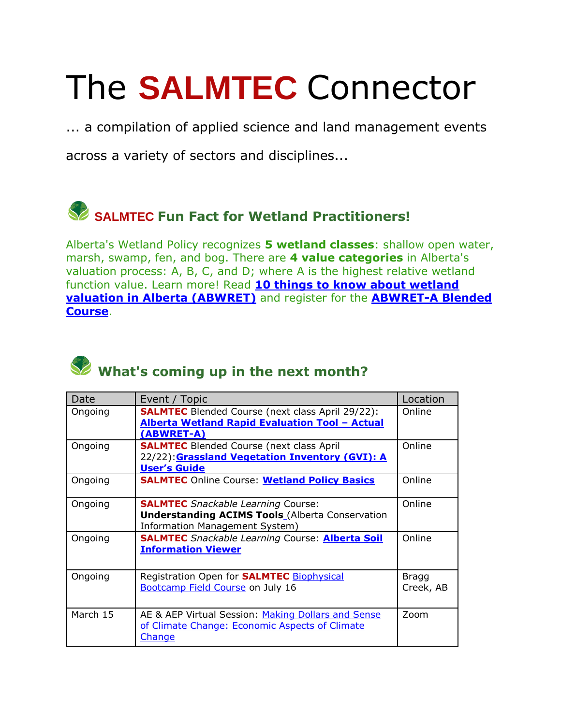# The **SALMTEC** Connector

... a compilation of applied science and land management events

across a variety of sectors and disciplines...

## **SALMTEC Fun Fact for Wetland Practitioners!**

Alberta's Wetland Policy recognizes **5 wetland classes**: shallow open water, marsh, swamp, fen, and bog. There are **4 value categories** in Alberta's valuation process: A, B, C, and D; where A is the highest relative wetland function value. Learn more! Read **[10 things to know about wetland](https://salmtec.com/blog?start=2)  [valuation in Alberta \(ABWRET\)](https://salmtec.com/blog?start=2)** and register for the **[ABWRET-A Blended](https://salmtec.com/)  [Course](https://salmtec.com/)**.



### What's coming up in the next month?

| Date     | Event / Topic                                                                                                                         | Location                  |
|----------|---------------------------------------------------------------------------------------------------------------------------------------|---------------------------|
| Ongoing  | <b>SALMTEC</b> Blended Course (next class April 29/22):<br><b>Alberta Wetland Rapid Evaluation Tool - Actual</b><br>(ABWRET-A)        | Online                    |
| Ongoing  | <b>SALMTEC</b> Blended Course (next class April<br>22/22): Grassland Vegetation Inventory (GVI): A<br><b>User's Guide</b>             | Online                    |
| Ongoing  | <b>SALMTEC</b> Online Course: Wetland Policy Basics                                                                                   | Online                    |
| Ongoing  | <b>SALMTEC</b> Snackable Learning Course:<br><b>Understanding ACIMS Tools</b> (Alberta Conservation<br>Information Management System) | Online                    |
| Ongoing  | <b>SALMTEC</b> Snackable Learning Course: <b>Alberta Soil</b><br><b>Information Viewer</b>                                            | Online                    |
| Ongoing  | Registration Open for <b>SALMTEC</b> Biophysical<br><b>Bootcamp Field Course on July 16</b>                                           | <b>Bragg</b><br>Creek, AB |
| March 15 | AE & AEP Virtual Session: Making Dollars and Sense<br>of Climate Change: Economic Aspects of Climate<br>Change                        | Zoom                      |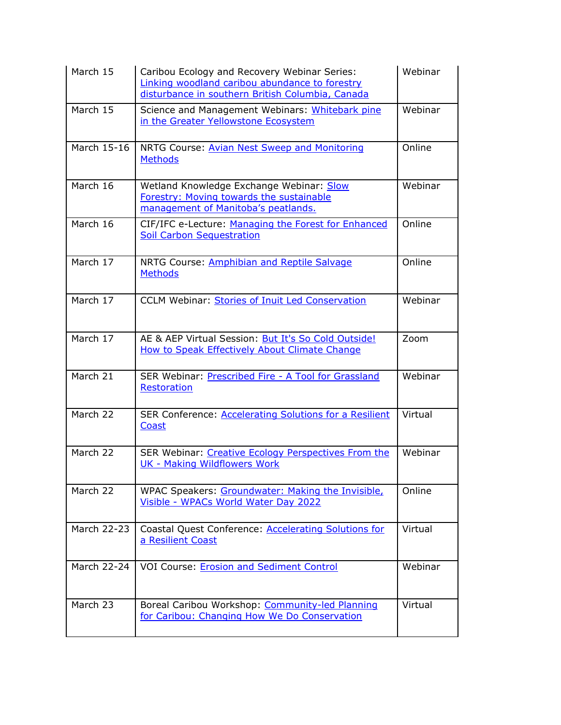| March 15              | Caribou Ecology and Recovery Webinar Series:<br>Linking woodland caribou abundance to forestry<br>disturbance in southern British Columbia, Canada | Webinar |
|-----------------------|----------------------------------------------------------------------------------------------------------------------------------------------------|---------|
| March 15              | Science and Management Webinars: Whitebark pine<br>in the Greater Yellowstone Ecosystem                                                            | Webinar |
| March 15-16           | NRTG Course: Avian Nest Sweep and Monitoring<br><b>Methods</b>                                                                                     | Online  |
| March 16              | Wetland Knowledge Exchange Webinar: Slow<br><b>Forestry: Moving towards the sustainable</b><br>management of Manitoba's peatlands.                 | Webinar |
| March 16              | CIF/IFC e-Lecture: Managing the Forest for Enhanced<br><b>Soil Carbon Sequestration</b>                                                            | Online  |
| March 17              | NRTG Course: Amphibian and Reptile Salvage<br><b>Methods</b>                                                                                       | Online  |
| March 17              | CCLM Webinar: Stories of Inuit Led Conservation                                                                                                    | Webinar |
| March $1\overline{7}$ | AE & AEP Virtual Session: But It's So Cold Outside!<br><b>How to Speak Effectively About Climate Change</b>                                        | Zoom    |
| March 21              | SER Webinar: Prescribed Fire - A Tool for Grassland<br>Restoration                                                                                 | Webinar |
| March 22              | SER Conference: Accelerating Solutions for a Resilient<br><b>Coast</b>                                                                             | Virtual |
| March 22              | SER Webinar: Creative Ecology Perspectives From the<br>UK - Making Wildflowers Work                                                                | Webinar |
| March 22              | WPAC Speakers: Groundwater: Making the Invisible,<br>Visible - WPACs World Water Day 2022                                                          | Online  |
| March 22-23           | Coastal Quest Conference: Accelerating Solutions for<br>a Resilient Coast                                                                          | Virtual |
| March 22-24           | <b>VOI Course: Erosion and Sediment Control</b>                                                                                                    | Webinar |
| March 23              | Boreal Caribou Workshop: Community-led Planning<br>for Caribou: Changing How We Do Conservation                                                    | Virtual |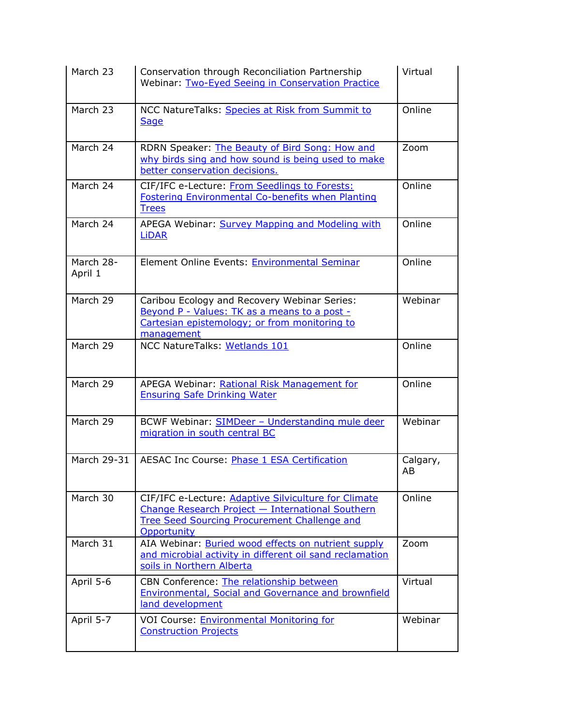| March 23             | Conservation through Reconciliation Partnership<br>Webinar: Two-Eyed Seeing in Conservation Practice                                                                           | Virtual        |
|----------------------|--------------------------------------------------------------------------------------------------------------------------------------------------------------------------------|----------------|
| March 23             | NCC NatureTalks: Species at Risk from Summit to<br>Sage                                                                                                                        | Online         |
| March 24             | RDRN Speaker: The Beauty of Bird Song: How and<br>why birds sing and how sound is being used to make<br>better conservation decisions.                                         | Zoom           |
| March 24             | CIF/IFC e-Lecture: From Seedlings to Forests:<br><b>Fostering Environmental Co-benefits when Planting</b><br><b>Trees</b>                                                      | Online         |
| March $24$           | APEGA Webinar: Survey Mapping and Modeling with<br><b>LiDAR</b>                                                                                                                | Online         |
| March 28-<br>April 1 | Element Online Events: Environmental Seminar                                                                                                                                   | Online         |
| March 29             | Caribou Ecology and Recovery Webinar Series:<br>Beyond P - Values: TK as a means to a post -<br>Cartesian epistemology; or from monitoring to<br>management                    | Webinar        |
| March 29             | NCC NatureTalks: Wetlands 101                                                                                                                                                  | Online         |
| March 29             | APEGA Webinar: Rational Risk Management for<br><b>Ensuring Safe Drinking Water</b>                                                                                             | Online         |
| March 29             | BCWF Webinar: SIMDeer - Understanding mule deer<br>migration in south central BC                                                                                               | Webinar        |
| March 29-31          | <b>AESAC Inc Course: Phase 1 ESA Certification</b>                                                                                                                             | Calgary,<br>AB |
| March 30             | CIF/IFC e-Lecture: Adaptive Silviculture for Climate<br>Change Research Project - International Southern<br><b>Tree Seed Sourcing Procurement Challenge and</b><br>Opportunity | Online         |
| March 31             | AIA Webinar: Buried wood effects on nutrient supply<br>and microbial activity in different oil sand reclamation<br>soils in Northern Alberta                                   | Zoom           |
| April 5-6            | CBN Conference: The relationship between<br>Environmental, Social and Governance and brownfield<br>land development                                                            | Virtual        |
| April 5-7            | VOI Course: Environmental Monitoring for<br><b>Construction Projects</b>                                                                                                       | Webinar        |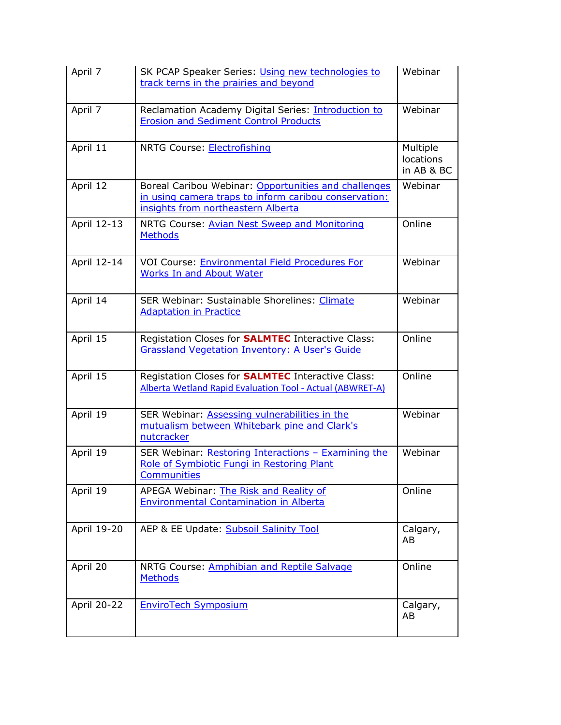| April 7     | SK PCAP Speaker Series: Using new technologies to<br>track terns in the prairies and beyond                                                         | Webinar                             |
|-------------|-----------------------------------------------------------------------------------------------------------------------------------------------------|-------------------------------------|
| April 7     | Reclamation Academy Digital Series: Introduction to<br><b>Erosion and Sediment Control Products</b>                                                 | Webinar                             |
| April 11    | NRTG Course: Electrofishing                                                                                                                         | Multiple<br>locations<br>in AB & BC |
| April 12    | Boreal Caribou Webinar: Opportunities and challenges<br>in using camera traps to inform caribou conservation:<br>insights from northeastern Alberta | Webinar                             |
| April 12-13 | NRTG Course: Avian Nest Sweep and Monitoring<br><b>Methods</b>                                                                                      | Online                              |
| April 12-14 | VOI Course: Environmental Field Procedures For<br><b>Works In and About Water</b>                                                                   | Webinar                             |
| April 14    | <b>SER Webinar: Sustainable Shorelines: Climate</b><br><b>Adaptation in Practice</b>                                                                | Webinar                             |
| April 15    | Registation Closes for <b>SALMTEC</b> Interactive Class:<br><b>Grassland Vegetation Inventory: A User's Guide</b>                                   | Online                              |
| April 15    | Registation Closes for <b>SALMTEC</b> Interactive Class:<br>Alberta Wetland Rapid Evaluation Tool - Actual (ABWRET-A)                               | Online                              |
| April 19    | SER Webinar: Assessing vulnerabilities in the<br>mutualism between Whitebark pine and Clark's<br>nutcracker                                         | Webinar                             |
| April 19    | SER Webinar: Restoring Interactions - Examining the<br>Role of Symbiotic Fungi in Restoring Plant<br>Communities                                    | Webinar                             |
| April 19    | APEGA Webinar: The Risk and Reality of<br><b>Environmental Contamination in Alberta</b>                                                             | Online                              |
| April 19-20 | AEP & EE Update: Subsoil Salinity Tool                                                                                                              | Calgary,<br>AB                      |
| April 20    | NRTG Course: Amphibian and Reptile Salvage<br><b>Methods</b>                                                                                        | Online                              |
| April 20-22 | <b>EnviroTech Symposium</b>                                                                                                                         | Calgary,<br>AB                      |